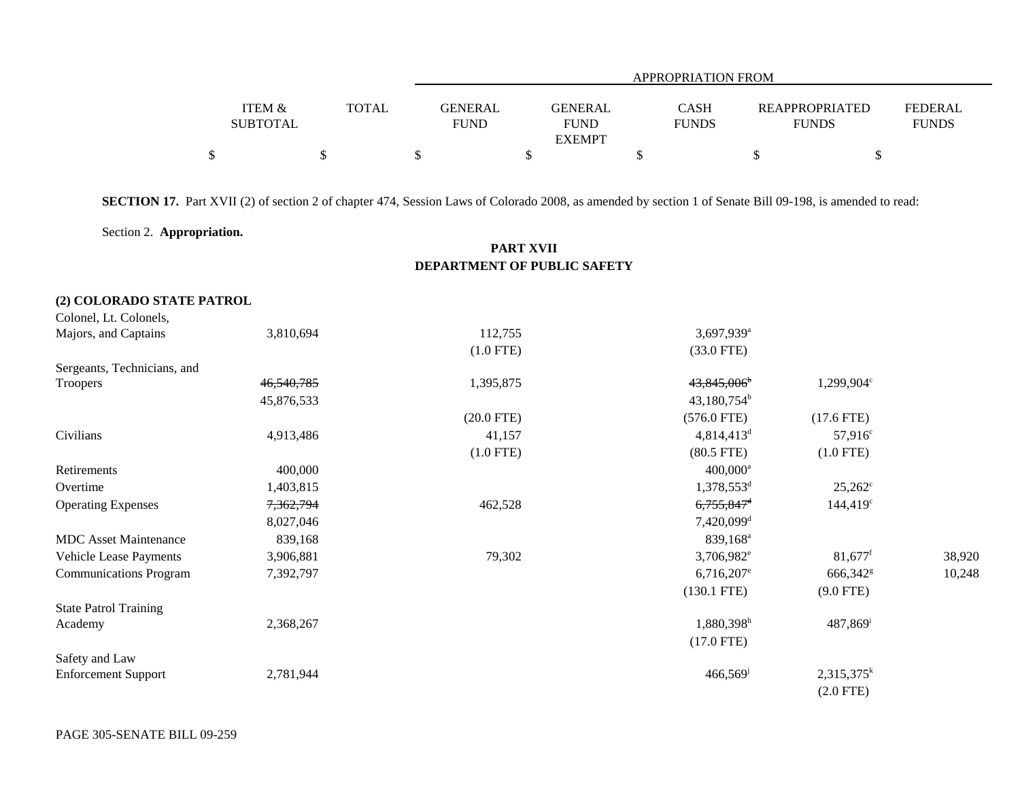|                   |              | <b>APPROPRIATION FROM</b> |                |              |                       |                |  |  |  |  |
|-------------------|--------------|---------------------------|----------------|--------------|-----------------------|----------------|--|--|--|--|
|                   |              |                           |                |              |                       |                |  |  |  |  |
| <b>ITEM &amp;</b> | <b>TOTAL</b> | <b>GENERAL</b>            | <b>GENERAL</b> | <b>CASH</b>  | <b>REAPPROPRIATED</b> | <b>FEDERAL</b> |  |  |  |  |
| <b>SUBTOTAL</b>   |              | <b>FUND</b>               | <b>FUND</b>    | <b>FUNDS</b> | <b>FUNDS</b>          | <b>FUNDS</b>   |  |  |  |  |
|                   |              |                           | <b>EXEMPT</b>  |              |                       |                |  |  |  |  |
|                   |              |                           |                |              |                       |                |  |  |  |  |

**SECTION 17.** Part XVII (2) of section 2 of chapter 474, Session Laws of Colorado 2008, as amended by section 1 of Senate Bill 09-198, is amended to read:

Section 2. **Appropriation.**

## **PART XVII DEPARTMENT OF PUBLIC SAFETY**

## **(2) COLORADO STATE PATROL**

| Colonel, Lt. Colonels,        |            |              |                          |                        |        |
|-------------------------------|------------|--------------|--------------------------|------------------------|--------|
| Majors, and Captains          | 3,810,694  | 112,755      | 3,697,939 <sup>a</sup>   |                        |        |
|                               |            | $(1.0$ FTE)  | $(33.0$ FTE)             |                        |        |
| Sergeants, Technicians, and   |            |              |                          |                        |        |
| Troopers                      | 46,540,785 | 1,395,875    | 43,845,006 <sup>b</sup>  | 1,299,904°             |        |
|                               | 45,876,533 |              | $43,180,754^b$           |                        |        |
|                               |            | $(20.0$ FTE) | $(576.0$ FTE)            | $(17.6$ FTE)           |        |
| Civilians                     | 4,913,486  | 41,157       | 4,814,413 <sup>d</sup>   | $57,916^c$             |        |
|                               |            | $(1.0$ FTE)  | $(80.5$ FTE)             | $(1.0$ FTE)            |        |
| Retirements                   | 400,000    |              | $400,000^a$              |                        |        |
| Overtime                      | 1,403,815  |              | 1,378,553 <sup>d</sup>   | $25,262^{\circ}$       |        |
| <b>Operating Expenses</b>     | 7,362,794  | 462,528      | 6,755,847 <sup>d</sup>   | $144,419^{\circ}$      |        |
|                               | 8,027,046  |              | 7,420,099 <sup>d</sup>   |                        |        |
| <b>MDC</b> Asset Maintenance  | 839,168    |              | 839,168 <sup>a</sup>     |                        |        |
| Vehicle Lease Payments        | 3,906,881  | 79,302       | 3,706,982 <sup>e</sup>   | $81,677$ <sup>f</sup>  | 38,920 |
| <b>Communications Program</b> | 7,392,797  |              | $6,716,207$ <sup>e</sup> | 666,342 <sup>g</sup>   | 10,248 |
|                               |            |              | $(130.1$ FTE)            | $(9.0$ FTE)            |        |
| <b>State Patrol Training</b>  |            |              |                          |                        |        |
| Academy                       | 2,368,267  |              | 1,880,398h               | $487,869$ <sup>i</sup> |        |
|                               |            |              | $(17.0$ FTE)             |                        |        |
| Safety and Law                |            |              |                          |                        |        |
| <b>Enforcement Support</b>    | 2,781,944  |              | 466,569                  | $2,315,375^k$          |        |
|                               |            |              |                          | $(2.0$ FTE)            |        |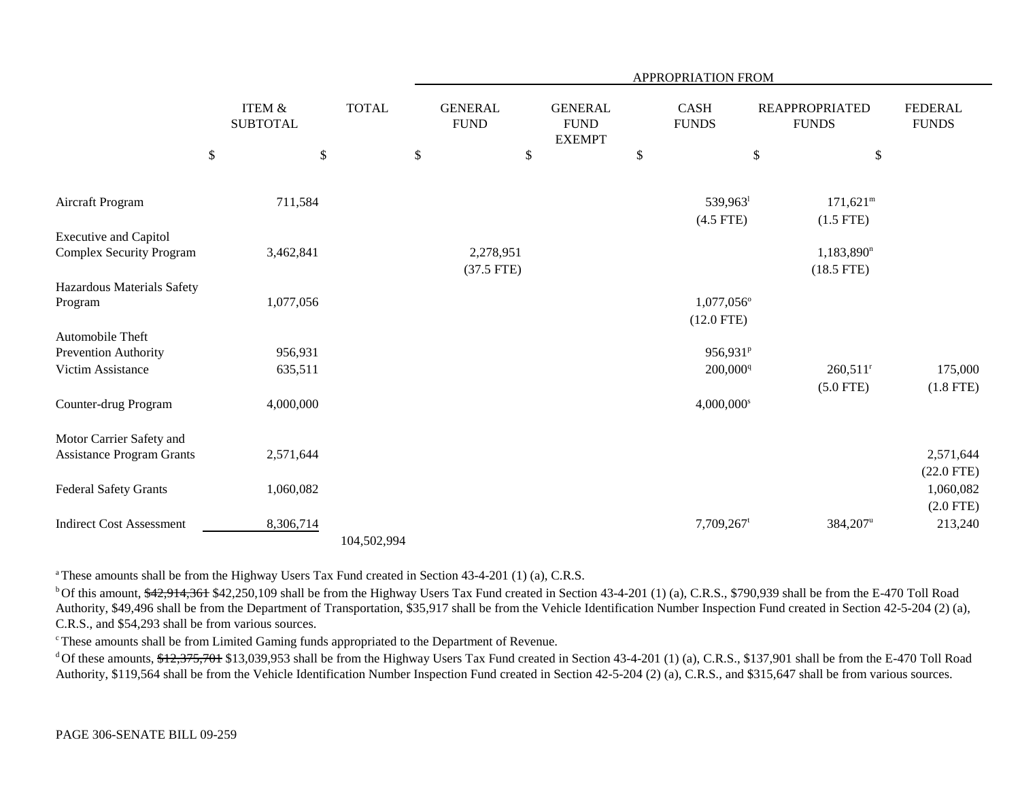|                                                                 |                           |                                      |              |              | APPROPRIATION FROM        |                               |    |                                                |    |                                              |                                          |                                |
|-----------------------------------------------------------------|---------------------------|--------------------------------------|--------------|--------------|---------------------------|-------------------------------|----|------------------------------------------------|----|----------------------------------------------|------------------------------------------|--------------------------------|
|                                                                 |                           | <b>ITEM &amp;</b><br><b>SUBTOTAL</b> |              | <b>TOTAL</b> |                           | <b>GENERAL</b><br><b>FUND</b> |    | <b>GENERAL</b><br><b>FUND</b><br><b>EXEMPT</b> |    | <b>CASH</b><br><b>FUNDS</b>                  | <b>REAPPROPRIATED</b><br><b>FUNDS</b>    | <b>FEDERAL</b><br><b>FUNDS</b> |
|                                                                 | $\boldsymbol{\mathsf{S}}$ |                                      | $\mathbb{S}$ |              | $\boldsymbol{\mathsf{S}}$ |                               | \$ |                                                | \$ |                                              | \$<br>$\$$                               |                                |
| Aircraft Program                                                |                           | 711,584                              |              |              |                           |                               |    |                                                |    | 539,963<br>$(4.5$ FTE)                       | $171,621^m$<br>$(1.5$ FTE)               |                                |
| <b>Executive and Capitol</b><br><b>Complex Security Program</b> |                           | 3,462,841                            |              |              |                           | 2,278,951<br>$(37.5$ FTE)     |    |                                                |    |                                              | $1,183,890$ <sup>n</sup><br>$(18.5$ FTE) |                                |
| Hazardous Materials Safety<br>Program                           |                           | 1,077,056                            |              |              |                           |                               |    |                                                |    | 1,077,056°<br>$(12.0$ FTE)                   |                                          |                                |
| Automobile Theft<br>Prevention Authority<br>Victim Assistance   |                           | 956,931<br>635,511                   |              |              |                           |                               |    |                                                |    | 956,931 <sup>P</sup><br>200,000 <sup>q</sup> | $260,511$ <sup>r</sup>                   | 175,000                        |
| Counter-drug Program                                            |                           | 4,000,000                            |              |              |                           |                               |    |                                                |    | $4,000,000$ <sup>s</sup>                     | $(5.0$ FTE)                              | $(1.8$ FTE)                    |
| Motor Carrier Safety and<br><b>Assistance Program Grants</b>    |                           | 2,571,644                            |              |              |                           |                               |    |                                                |    |                                              |                                          | 2,571,644<br>$(22.0$ FTE)      |
| Federal Safety Grants                                           |                           | 1,060,082                            |              |              |                           |                               |    |                                                |    |                                              |                                          | 1,060,082<br>$(2.0$ FTE)       |
| <b>Indirect Cost Assessment</b>                                 |                           | 8,306,714                            |              | 104,502,994  |                           |                               |    |                                                |    | $7,709,267$ <sup>t</sup>                     | $384,207^{\rm u}$                        | 213,240                        |

<sup>a</sup> These amounts shall be from the Highway Users Tax Fund created in Section 43-4-201 (1) (a), C.R.S.

<sup>b</sup> Of this amount, \$42,914,361 \$42,250,109 shall be from the Highway Users Tax Fund created in Section 43-4-201 (1) (a), C.R.S., \$790,939 shall be from the E-470 Toll Road Authority, \$49,496 shall be from the Department of Transportation, \$35,917 shall be from the Vehicle Identification Number Inspection Fund created in Section 42-5-204 (2) (a), C.R.S., and \$54,293 shall be from various sources.

<sup>c</sup> These amounts shall be from Limited Gaming funds appropriated to the Department of Revenue.

<sup>d</sup> Of these amounts, \$12,375,701 \$13,039,953 shall be from the Highway Users Tax Fund created in Section 43-4-201 (1) (a), C.R.S., \$137,901 shall be from the E-470 Toll Road Authority, \$119,564 shall be from the Vehicle Identification Number Inspection Fund created in Section 42-5-204 (2) (a), C.R.S., and \$315,647 shall be from various sources.